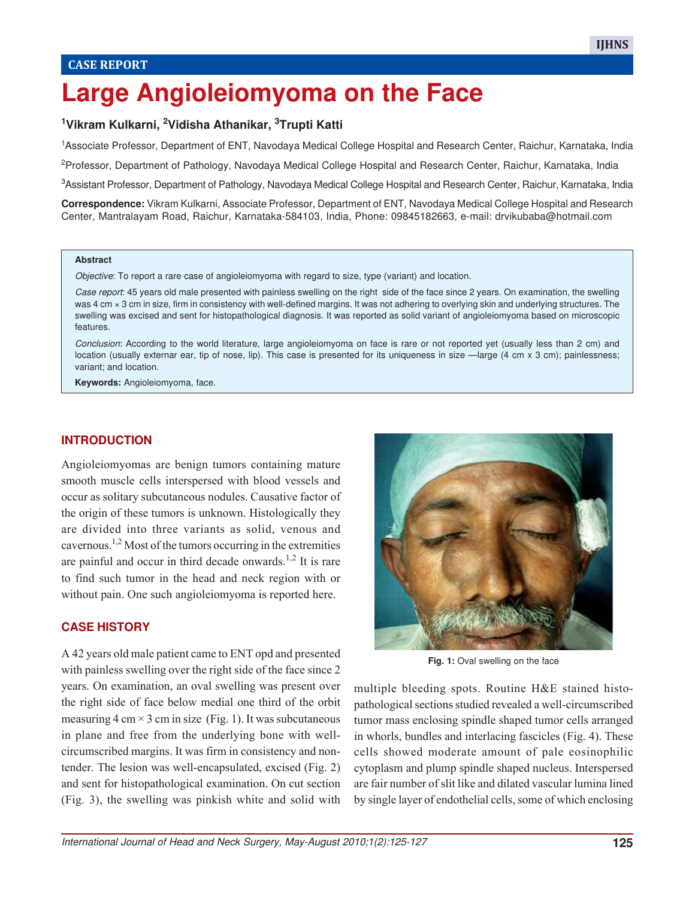# **Large Angioleiomyoma on the Face**

# **<sup>1</sup>Vikram Kulkarni, 2Vidisha Athanikar, 3Trupti Katti**

<sup>1</sup>Associate Professor, Department of ENT, Navodaya Medical College Hospital and Research Center, Raichur, Karnataka, India

<sup>2</sup>Professor, Department of Pathology, Navodaya Medical College Hospital and Research Center, Raichur, Karnataka, India

<sup>3</sup>Assistant Professor, Department of Pathology, Navodaya Medical College Hospital and Research Center, Raichur, Karnataka, India

**Correspondence:** Vikram Kulkarni, Associate Professor, Department of ENT, Navodaya Medical College Hospital and Research Center, Mantralayam Road, Raichur, Karnataka-584103, India, Phone: 09845182663, e-mail: drvikubaba@hotmail.com

#### **Abstract**

Objective: To report a rare case of angioleiomyoma with regard to size, type (variant) and location.

Case report: 45 years old male presented with painless swelling on the right side of the face since 2 years. On examination, the swelling was 4 cm × 3 cm in size, firm in consistency with well-defined margins. It was not adhering to overlying skin and underlying structures. The swelling was excised and sent for histopathological diagnosis. It was reported as solid variant of angioleiomyoma based on microscopic features.

Conclusion: According to the world literature, large angioleiomyoma on face is rare or not reported yet (usually less than 2 cm) and location (usually externar ear, tip of nose, lip). This case is presented for its uniqueness in size —large (4 cm x 3 cm); painlessness; variant; and location.

**Keywords:** Angioleiomyoma, face.

#### **INTRODUCTION**

Angioleiomyomas are benign tumors containing mature smooth muscle cells interspersed with blood vessels and occur as solitary subcutaneous nodules. Causative factor of the origin of these tumors is unknown. Histologically they are divided into three variants as solid, venous and cavernous.1,2 Most of the tumors occurring in the extremities are painful and occur in third decade onwards.<sup>1,2</sup> It is rare to find such tumor in the head and neck region with or without pain. One such angioleiomyoma is reported here.

#### **CASE HISTORY**

A 42 years old male patient came to ENT opd and presented with painless swelling over the right side of the face since 2 years. On examination, an oval swelling was present over the right side of face below medial one third of the orbit measuring  $4 \text{ cm} \times 3 \text{ cm}$  in size (Fig. 1). It was subcutaneous in plane and free from the underlying bone with wellcircumscribed margins. It was firm in consistency and nontender. The lesion was well-encapsulated, excised (Fig. 2) and sent for histopathological examination. On cut section (Fig. 3), the swelling was pinkish white and solid with



Fig. 1: Oval swelling on the face

multiple bleeding spots. Routine H&E stained histopathological sections studied revealed a well-circumscribed tumor mass enclosing spindle shaped tumor cells arranged in whorls, bundles and interlacing fascicles (Fig. 4). These cells showed moderate amount of pale eosinophilic cytoplasm and plump spindle shaped nucleus. Interspersed are fair number of slit like and dilated vascular lumina lined by single layer of endothelial cells, some of which enclosing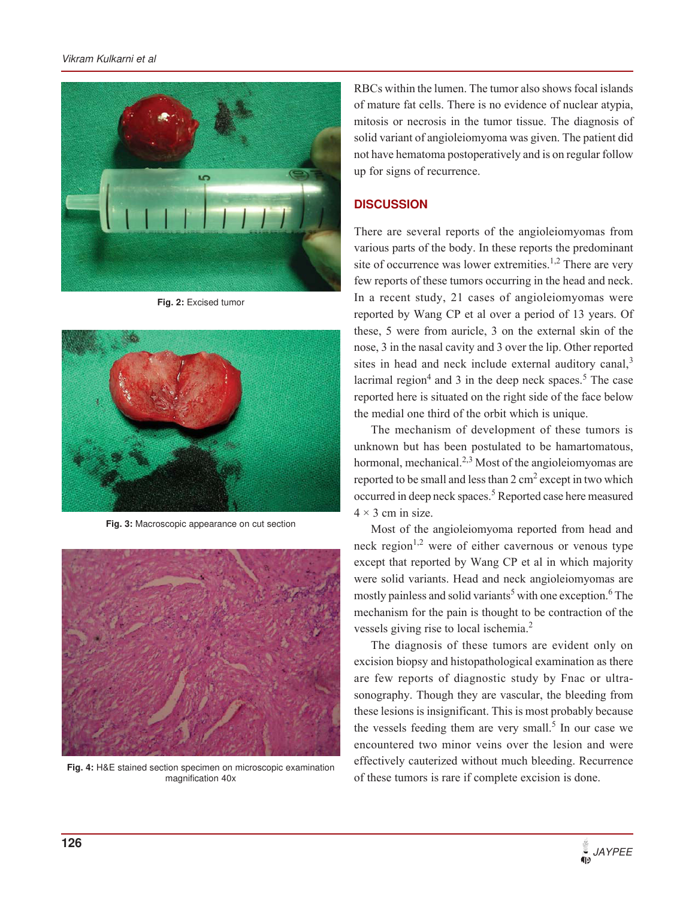#### Vikram Kulkarni et al



**Fig. 2:** Excised tumor



**Fig. 3:** Macroscopic appearance on cut section



**Fig. 4:** H&E stained section specimen on microscopic examination magnification 40x

RBCs within the lumen. The tumor also shows focal islands of mature fat cells. There is no evidence of nuclear atypia, mitosis or necrosis in the tumor tissue. The diagnosis of solid variant of angioleiomyoma was given. The patient did not have hematoma postoperatively and is on regular follow up for signs of recurrence.

## **DISCUSSION**

There are several reports of the angioleiomyomas from various parts of the body. In these reports the predominant site of occurrence was lower extremities.<sup>1,2</sup> There are very few reports of these tumors occurring in the head and neck. In a recent study, 21 cases of angioleiomyomas were reported by Wang CP et al over a period of 13 years. Of these, 5 were from auricle, 3 on the external skin of the nose, 3 in the nasal cavity and 3 over the lip. Other reported sites in head and neck include external auditory canal,<sup>3</sup> lacrimal region<sup>4</sup> and 3 in the deep neck spaces.<sup>5</sup> The case reported here is situated on the right side of the face below the medial one third of the orbit which is unique.

The mechanism of development of these tumors is unknown but has been postulated to be hamartomatous, hormonal, mechanical.<sup>2,3</sup> Most of the angioleiomyomas are reported to be small and less than  $2 \text{ cm}^2$  except in two which occurred in deep neck spaces.<sup>5</sup> Reported case here measured  $4 \times 3$  cm in size.

Most of the angioleiomyoma reported from head and neck region<sup> $1,2$ </sup> were of either cavernous or venous type except that reported by Wang CP et al in which majority were solid variants. Head and neck angioleiomyomas are mostly painless and solid variants<sup>5</sup> with one exception.<sup>6</sup> The mechanism for the pain is thought to be contraction of the vessels giving rise to local ischemia.<sup>2</sup>

The diagnosis of these tumors are evident only on excision biopsy and histopathological examination as there are few reports of diagnostic study by Fnac or ultrasonography. Though they are vascular, the bleeding from these lesions is insignificant. This is most probably because the vessels feeding them are very small.<sup>5</sup> In our case we encountered two minor veins over the lesion and were effectively cauterized without much bleeding. Recurrence of these tumors is rare if complete excision is done.